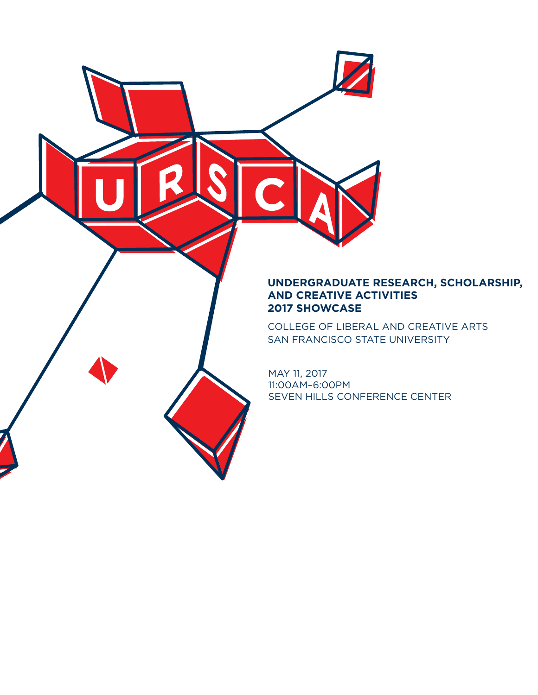#### **UNDERGRADUATE RESEARCH, SCHOLARSHIP, AND CREATIVE ACTIVITIES 2017 SHOWCASE**

COLLEGE OF LIBERAL AND CREATIVE ARTS SAN FRANCISCO STATE UNIVERSITY

MAY 11, 2017 11:00AM–6:00PM SEVEN HILLS CONFERENCE CENTER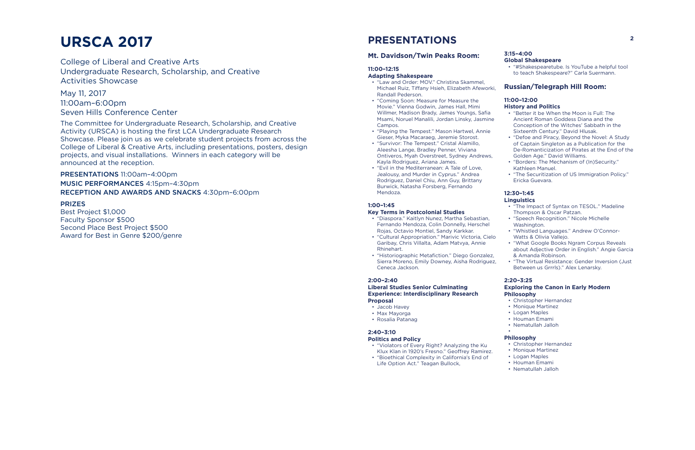#### **Key Terms in Postcolonial Studies** ) – II.45<br>Dance Dance and Dance and Dance

- "Diaspora." Kaitlyn Nunez, Martha Sebastian,<br> **Judges** Marchers Calin Damaslly Hamakal Fernando Mendoza, Colin Donnelly, Herschel r emando mendoza, Collir Donnelly, ne<br>Rojas, Octavio Montiel, Sandy Karkkar.
- Rojas, Octavio Hontici, Sandy Rankkai.<br>• "Cultural Appropriation." Marivic Victoria, Cielo Garibay, Chris Villalta, Adam Matvya, Annie Rhinehart.
- "Historiographic Metafiction." Diego Gonzalez, Sierra Moreno, Emily Downey, Aisha Rodriguez, Ceneca Jackson.

#### **Liberal Studies Senior Culminating Sponsors** Experience: Interdisciplinary Research **Philosophy Proposal**

- Jacob Havey
- Max Mayorga
- Rosalia Patanag

#### **Politics and Policy**  $(0,0)$  (O $\alpha$ ce of Research  $\alpha$  Sponsored Programs), Justin Times (Design), Justin Times (Design), Justin Times (Design), Justin Times (Design), Justin Times (Design), Justin Times (Design), Justin Times (Design), Justi

- ontics and Policy<br>• "Violators of Every Right? Analyzing the Ku  $\bullet$  Ch Klux Klan in 1920's Fresno." Geoffrey Ramirez.
- "Bioethical Complexity in California's End of Life Option Act." Teagan Bullock,

#### **2:00–2:40**

#### **2:40–3:10**

#### **3:15–4:00**

• "#Shakespearetube. Is YouTube a helpful tool to teach Shakespeare?" Carla Suermann.

#### **Russian/Telegraph Hill Room:**

#### **11:00–12:00**

#### **History and Politics**

### **Adapting Shakespeare** Dennis Campbell (History)

- **udpting Shakespeare**<br>• "Law and Order: MOV." Christina Skammel, Edit and Stash from Shine Shahmid, School of Design Countries, Randall Pederson.
- "Coming Soon: Measure for Measure the Movie." Vienna Godwin, James Hall, Mimi Willmer, Madison Brady, James Youngs, Safia Msami, Noruel Manalili, Jordan Linsky, Jasmine Campos.
- Campos.<br>• "Playing the Tempest." Mason Hartwel, Annie Gieser, Myka Macaraeg, Jeremie Storost.<br>"Suminer: The Tampast" Gristal Alamilla Playing the Tempest." Mason H
- "Survivor: The Tempest." Cristal Alamillo, Survivor: The Tempest: Cristal Alamine<br>Aleesha Lange, Bradley Penner, Viviana Arcesha Earlyc, Braalcy Penner, Williams<br>Ontiveros, Myah Overstreet, Sydney Andrews, Kayla Rodriguez, Ariana James.
- "Evil in the Mediterranean: A Tale of Love, Jealousy, and Murder in Cyprus." Andrea Rodriguez, Daniel Chiu, Ann Guy, Brittany Burwick, Natasha Forsberg, Fernando Mendoza.
- "Better it be When the Moon is Full: The Ancient Roman Goddess Diana and the Conception of the Witches' Sabbath in the
- Sixteenth Century." David Hlusak.
- "Defoe and Piracy, Beyond the Novel: A Study of Captain Singleton as a Publication for the
- De-Romanticization of Pirates at the End of the
- Golden Age." David Williams.
- "Borders: The Mechanism of (In)Security." Kathleen Manuel.
- "The Securitization of US Immigration Policy." Ericka Guevara.

#### **12:30–1:45**

#### **Linguistics**

- "The Impact of Syntax on TESOL." Madeline Thompson & Oscar Patzan.
- "Speech Recognition." Nicole Michelle Washington.
- "Whistled Languages." Andrew O'Connor-Watts & Olivia Vallejo.
- 
- "What Google Books Ngram Corpus Reveals about Adjective Order in English." Angie Garcia
- & Amanda Robinson.
- "The Virtual Resistance: Gender Inversion (Just Between us Grrrls)." Alex Lenarsky.

#### **1:00–1:45**  Anastasia Smirnova (English)

#### **2:20–3:25 Exploring the Canon in Early Modern**

•

#### **Philosophy**

- Christopher Hernandez
- Monique Martinez
- Logan Maples
- Houman Emami
- Nematullah Jalloh

# **URSCA 2017**

College of Liberal and Creative Arts Undergraduate Research, Scholarship, and Creative Activities Showcase

May 11, 2017 11:00am–6:00pm Seven Hills Conference Center

The Committee for Undergraduate Research, Scholarship, and Creative Activity (URSCA) is hosting the first LCA Undergraduate Research Showcase. Please join us as we celebrate student projects from across the College of Liberal & Creative Arts, including presentations, posters, design projects, and visual installations. Winners in each category will be announced at the reception.

PRESENTATIONS 11:00am–4:00pm MUSIC PERFORMANCES 4:15pm–4:30pm RECEPTION AND AWARDS AND SNACKS 4:30pm–6:00pm

#### PRIZES

Best Project \$1,000 Faculty Sponsor \$500 Second Place Best Project \$500 Award for Best in Genre \$200/genre

# **PRESENTATIONS**

#### **Mt. Davidson/Twin Peaks Room: Bavidson, Twin Pears Room.** Global Shakespeare

### 11:00-12:15

- **Philosophy**
- Christopher Hernandez
- Monique Martinez
- Logan Maples
- Houman Emami
- Nematullah Jalloh Gitanjali G Shahani (English, Committee Chair), Laura Lisy-Wagner (History), Jessica Mankus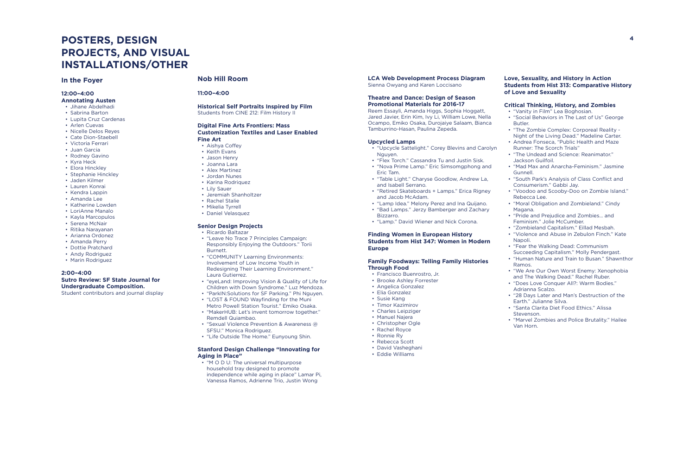## **POSTERS, DESIGN PROJECTS, AND VISUAL INSTALLATIONS/OTHER**

#### **In the Foyer**

#### **12:00–4:00 Annotating Austen**

- Jihane Abdelhadi
- Sabrina Barton
- Lupita Cruz Cardenas
- Arlen Cuevas
- Nicelle Delos Reyes
- Cate Dion-Staebell
- Victoria Ferrari
- Juan Garcia
- Rodney Gavino
- Kyra Heck
- Elora Hinckley
- Stephanie Hinckley
- Jaden Kilmer
- Lauren Konrai
- Kendra Lappin
- Amanda Lee
- Katherine Lowden
- LoriAnne Manalo
- Kayla Marcopulos
- Serena McNair
- Ritika Narayanan
- Arianna Ordonez
- Amanda Perry
- Dottie Pratchard
- Andy Rodriguez
- Marin Rodriguez

#### **2:00–4:00 Sutro Review: SF State Journal for Undergraduate Composition.**

Student contributors and journal display

#### **Nob Hill Room**

#### **11:00–4:00**

#### **Historical Self Portraits Inspired by Film** Students from CINE 212: Film History II

#### **Digital Fine Arts Frontiers: Mass Customization Textiles and Laser Enabled Fine Art**

- Aishya Coffey
- Keith Evans
- Jason Henry
- Joanna Lara
- Alex Martinez
- Jordan Nunes
- Karina Rodriquez
- Lily Sauer
- Jeremiah Shanholtzer
- Rachel Stalie
- Mikelia Tyrrell
- Daniel Velasquez

#### **Senior Design Projects**

- Ricardo Baltazar
- "Leave No Trace 7 Principles Campaign: Responsibly Enjoying the Outdoors." Torii Burnett.
- "COMMUNITY Learning Environments: Involvement of Low Income Youth in Redesigning Their Learning Environment." Laura Gutierrez.
- "eyeLand: Improving Vision & Quality of Life for Children with Down Syndrome." Luz Mendoza.
- "ParkIN:Solutions for SF Parking." Phi Nguyen.
- "LOST & FOUND Wayfinding for the Muni Metro Powell Station Tourist." Emiko Osaka.
- "MakerHUB: Let's invent tomorrow together." Remdell Quiambao.
- "Sexual Violence Prevention & Awareness @ SFSU." Monica Rodriguez.
- "Life Outside The Home." Eunyoung Shin.

#### **Stanford Design Challenge "Innovating for Aging in Place"**

• "M O D U: The universal multipurpose household tray designed to promote independence while aging in place" Lamar Pi, Vanessa Ramos, Adrienne Trio, Justin Wong

#### **LCA Web Development Process Diagram**  Sienna Owyang and Karen Loccisano

#### **Theatre and Dance: Design of Season Promotional Materials for 2016-17**

Reem Essayli, Amanda Higgs, Sophia Hoggatt, Jared Javier, Erin Kim, Ivy Li, William Lowe, Nella Ocampo, Emiko Osaka, Durojaiye Salaam, Bianca Tamburrino-Hasan, Paulina Zepeda.

#### **Upcycled Lamps**

- "Upcycle Sattelight." Corey Blevins and Carolyn Nguyen.
- "Flex Torch." Cassandra Tu and Justin Sisk.
- "Nova Prime Lamp." Eric Simsomgphong and Eric Tam.
- "Table Light." Charyse Goodlow, Andrew La, and Isabell Serrano.
- "Retired Skateboards + Lamps." Erica Rigney and Jacob McAdam.
- "Lamp Idea." Melony Perez and Ina Quijano. • "Bad Lamps." Jerzy Bamberger and Zachary
- Bizzarro.
- "Lamp." David Wiener and Nick Corona.

#### **Finding Women in European History Students from Hist 347: Women in Modern Europe**

#### **Family Foodways: Telling Family Histories Through Food**

- Francisco Buenrostro, Jr.
- Brooke Ashley Forrester
- Angelica Gonzalez
- Elia Gonzalez
- Susie Kang
- Timor Kazimirov
- Charles Leipziger
- Manuel Najera
- Christopher Ogle
- Rachel Royce
- Ronnie Ry
- Rebecca Scott
- David Vasheghani
- Eddie Williams

#### **Love, Sexuality, and History in Action Students from Hist 313: Comparative History of Love and Sexuality**

#### **Critical Thinking, History, and Zombies**

- "Vanity in Film" Lea Boghosian. • "Social Behaviors in The Last of Us" George Butler.
- "The Zombie Complex: Corporeal Reality Night of the Living Dead." Madeline Carter.
- Andrea Fonseca, "Public Health and Maze Runner: The Scorch Trials"
- "The Undead and Science: Reanimator." Jackson Guilfoil.
- "Mad Max and Anarcha-Feminism." Jasmine Gunnell.
- "South Park's Analysis of Class Conflict and Consumerism." Gabbi Jay.
- "Voodoo and Scooby-Doo on Zombie Island." Rebecca Lee.
- "Moral Obligation and Zombieland." Cindy Magana.
- "Pride and Prejudice and Zombies… and Feminism." Jolie McCumber.
- "Zombieland Capitalism." Eillad Mesbah. • "Violence and Abuse in Zebulon Finch." Kate Napoli.
- "Fear the Walking Dead: Communism Succeeding Capitalism." Molly Pendergast. • "Human Nature and Train to Busan." Shawnthor Ramos.
- "We Are Our Own Worst Enemy: Xenophobia and The Walking Dead." Rachel Ruber.
- "Does Love Conquer All?: Warm Bodies." Adrianna Scalzo.
- "28 Days Later and Man's Destruction of the Earth." Julianne Silva.
- "Santa Clarita Diet Food Ethics." Alissa Stevenson.
- "Marvel Zombies and Police Brutality." Hailee Van Horn.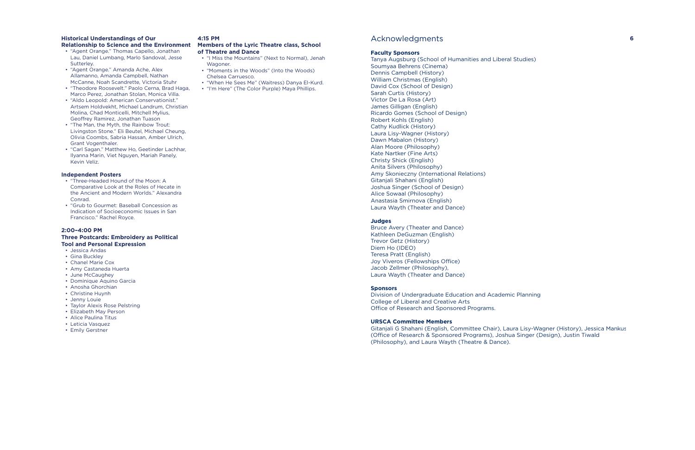#### **Historical Understandings of Our**  Historical Understandings of Our 4:15 PM<br>Relationship to Science and the Environment Members of the Lyric Theatre class, School

- "Agent Orange." Thomas Capello, Jonathan Lau, Daniel Lumbang, Marlo Sandoval, Jesse Laa, Baher Lambang, Hano Sanaoval, Sesse<br>Sutterley.
- "Agent Orange." Amanda Ache, Alex Undergraduate Research, Scholarship, and Creative Allamanno, Amanda Campbell, Nathan McCanne, Noah Scandrette, Victoria Stuhr
- "Theodore Roosevelt." Paolo Cerna, Brad Haga, meedere neederen Tradie Coma, Didamin<br>Marco Perez, Jonathan Stolan, Monica Villa.
- "Aldo Leopold: American Conservationist." • "Aldo Leopold: American Conservationist."<br>Artsem Holdvekht, Michael Landrum, Christian Molina, Chad Monticelli, Mitchell Mylius, Geoffrey Ramirez, Jonathan Tuason
- Soomby Nammer, Schannan Nacoolie<br>• "The Man, the Myth, the Rainbow Trout: Livingston Stone." Eli Beutel, Michael Cheung, Olivia Coombs, Sabria Hassan, Amber Ulrich,<br>Gwel Versetheler Grant Vogenthaler.
- orant vogentnamer.<br>• "Carl Sagan." Matthew Ho, Geetinder Lachhar, Ilyanna Marin, Viet Nguyen, Mariah Panely, Kevin Veliz.

#### **Independent Posters**

- "Three-Headed Hound of the Moon: A • Three-Headed Hound of the Moon: A<br>Comparative Look at the Roles of Hecate in the Ancient and Modern Worlds." Alexandra Conrad.
- "Grub to Gourmet: Baseball Concession as Indication of Socioeconomic Issues in San Francisco." Rachel Royce.

#### 2:00-4:00 PM **Three Postcards: Embroidery as Political Tool and Personal Expression**

- Jessica Andas
- Gina Buckley
- Chanel Marie Cox
- Amy Castaneda Huerta
- June McCaughey
- Dominique Aquino Garcia
- Anosha Ghorchian
- Christine Huynh
- Jenny Louie
- Taylor Alexis Rose Pelstring
- Elizabeth May Person
- Alice Paulina Titus
- Leticia Vasquez
- Emily Gerstner

Division of Undergraduate Education and Academic Planning College of Liberal and Creative Arts Office of Research and Sponsored Programs.

#### Acknowledgments

#### **Faculty Sponsors**

Tanya Augsburg (School of Humanities and Liberal Studies) Soumyaa Behrens (Cinema) Dennis Campbell (History) William Christmas (English) David Cox (School of Design) Sarah Curtis (History) Victor De La Rosa (Art) James Gilligan (English) Ricardo Gomes (School of Design) Robert Kohls (English) Cathy Kudlick (History) Laura Lisy-Wagner (History) Dawn Mabalon (History) Alan Moore (Philosophy) Kate Nartker (Fine Arts) Christy Shick (English) Anita Silvers (Philosophy) Amy Skonieczny (International Relations) Gitanjali Shahani (English) Joshua Singer (School of Design) Alice Sowaal (Philosophy) Anastasia Smirnova (English) Laura Wayth (Theater and Dance)

#### **Judges**

Bruce Avery (Theater and Dance) Kathleen DeGuzman (English) Trevor Getz (History) Diem Ho (IDEO) Teresa Pratt (English) Joy Viveros (Fellowships Office) Jacob Zellmer (Philosophy), Laura Wayth (Theater and Dance)

#### **Sponsors**

#### **URSCA Committee Members**

Gitanjali G Shahani (English, Committee Chair), Laura Lisy-Wagner (History), Jessica Mankus (Office of Research & Sponsored Programs), Joshua Singer (Design), Justin Tiwald (Philosophy), and Laura Wayth (Theatre & Dance).

#### **4:15 PM**

# **of Theatre and Dance**

- "I Miss the Mountains" (Next to Normal), Jenah Wagoner.
- "Moments in the Woods" (Into the Woods) Chelsea Carruesco.
- "When He Sees Me" (Waitress) Danya El-Kurd.
- "I'm Here" (The Color Purple) Maya Phillips.

**6**